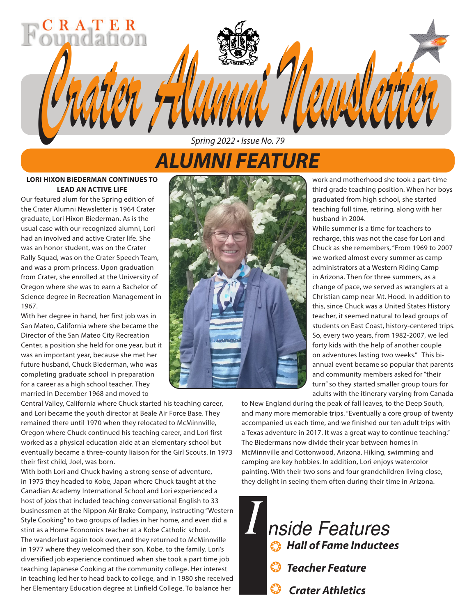# *ALUMNI FEATURE*

*Spring 2022 • Issue No. 79*

*Crater Alumni Newsletter Crater Alumni Newsletter*

### **LORI HIXON BIEDERMAN CONTINUES TO LEAD AN ACTIVE LIFE**

 $CR$   $AT$   $ER$ 

Our featured alum for the Spring edition of the Crater Alumni Newsletter is 1964 Crater graduate, Lori Hixon Biederman. As is the usual case with our recognized alumni, Lori had an involved and active Crater life. She was an honor student, was on the Crater Rally Squad, was on the Crater Speech Team, and was a prom princess. Upon graduation from Crater, she enrolled at the University of Oregon where she was to earn a Bachelor of Science degree in Recreation Management in 1967.

With her degree in hand, her first job was in San Mateo, California where she became the Director of the San Mateo City Recreation Center, a position she held for one year, but it was an important year, because she met her future husband, Chuck Biederman, who was completing graduate school in preparation for a career as a high school teacher. They married in December 1968 and moved to

Central Valley, California where Chuck started his teaching career, and Lori became the youth director at Beale Air Force Base. They remained there until 1970 when they relocated to McMinnville, Oregon where Chuck continued his teaching career, and Lori first worked as a physical education aide at an elementary school but eventually became a three-county liaison for the Girl Scouts. In 1973 their first child, Joel, was born.

With both Lori and Chuck having a strong sense of adventure, in 1975 they headed to Kobe, Japan where Chuck taught at the Canadian Academy International School and Lori experienced a host of jobs that included teaching conversational English to 33 businessmen at the Nippon Air Brake Company, instructing "Western Style Cooking" to two groups of ladies in her home, and even did a stint as a Home Economics teacher at a Kobe Catholic school. The wanderlust again took over, and they returned to McMinnville in 1977 where they welcomed their son, Kobe, to the family. Lori's diversified job experience continued when she took a part time job teaching Japanese Cooking at the community college. Her interest in teaching led her to head back to college, and in 1980 she received her Elementary Education degree at Linfield College. To balance her



work and motherhood she took a part-time third grade teaching position. When her boys graduated from high school, she started teaching full time, retiring, along with her husband in 2004.

While summer is a time for teachers to recharge, this was not the case for Lori and Chuck as she remembers, "From 1969 to 2007 we worked almost every summer as camp administrators at a Western Riding Camp in Arizona. Then for three summers, as a change of pace, we served as wranglers at a Christian camp near Mt. Hood. In addition to this, since Chuck was a United States History teacher, it seemed natural to lead groups of students on East Coast, history-centered trips. So, every two years, from 1982-2007, we led forty kids with the help of another couple on adventures lasting two weeks." This biannual event became so popular that parents and community members asked for "their turn" so they started smaller group tours for adults with the itinerary varying from Canada

to New England during the peak of fall leaves, to the Deep South, and many more memorable trips. "Eventually a core group of twenty accompanied us each time, and we finished our ten adult trips with a Texas adventure in 2017. It was a great way to continue teaching." The Biedermans now divide their year between homes in McMinnville and Cottonwood, Arizona. Hiking, swimming and camping are key hobbies. In addition, Lori enjoys watercolor painting. With their two sons and four grandchildren living close, they delight in seeing them often during their time in Arizona.

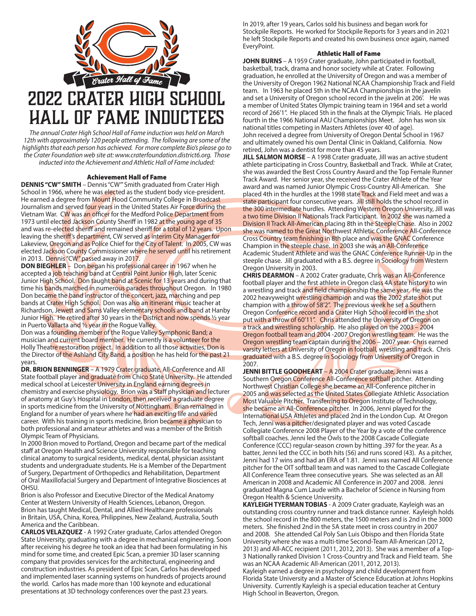

*The annual Crater High School Hall of Fame induction was held on March 12th with approximately 120 people attending. The following are some of the highlights that each person has achieved. For more complete Bio's please go to the Crater Foundation web site at: www.craterfoundation.district6.org. Those inducted into the Achievement and Athletic Hall of Fame included:* 

### Achievement Hall of Fame

**DENNIS "CW" SMITH** – Dennis "CW'" Smith graduated from Crater High School in 1966, where he was elected as the student body vice-president. He earned a degree from Mount Hood Community College in Broadcast Journalism and served four years in the United States Air Force during the Vietnam War. CW was an officer for the Medford Police Department from 1973 until elected Jackson County Sheriff in 1982 at the young age of 35 and was re-elected sheriff and remained sheriff for a total of 12 years. Upon leaving the sheriff's department, CW served as interim City Manager for Lakeview, Oregon and as Police Chief for the City of Talent. In 2005, CW was elected Jackson County Commissioner where he served until his retirement in 2013. Dennis "CW" passed away in 2017.

**DON BIEGHLER** – Don began his professional career in 1967 when he accepted a job teaching band at Central Point Junior High, later Scenic Junior High School. Don taught band at Scenic for 13 years and during that time his bands marched in numerous parades throughout Oregon. In 1980 Don became the band instructor of the concert, jazz, marching and pep bands at Crater High School. Don was also an itinerant music teacher at Richardson, Jewett and Sams Valley elementary schools and band at Hanby Junior High. He retired after 30 years in the District and now spends 1/2 year in Puerto Vallarta and 1/2 year in the Rogue Valley.

Don was a founding member of the Rogue Valley Symphonic Band; a musician and current board member. He currently is a volunteer for the Holly Theatre restoration project. In addition to all those activities, Don is the Director of the Ashland City Band, a position he has held for the past 21 years.

**DR. BRION BENNINGER** – A 1979 Crater graduate, All-Conference and All State football player and graduate from Chico State University. He attended medical school at Leicester University in England earning degrees in chemistry and exercise physiology. Brion was a Staff physician and lecturer of anatomy at Guy's Hospital in London, then received a graduate degree in sports medicine from the University of Nottingham. Brian remained in England for a number of years where he had an exciting life and varied career. With his training in sports medicine, Brion became a physician to both professional and amateur athletes and was a member of the British Olympic Team of Physicians.

In 2000 Brion moved to Portland, Oregon and became part of the medical staff at Oregon Health and Science University responsible for teaching clinical anatomy to surgical residents, medical, dental, physician assistant students and undergraduate students. He is a Member of the Department of Surgery, Department of Orthopedics and Rehabilitation, Department of Oral Maxillofacial Surgery and Department of Integrative Biosciences at **OHSU** 

Brion is also Professor and Executive Director of the Medical Anatomy Center at Western University of Health Sciences, Lebanon, Oregon. Brion has taught Medical, Dental, and Allied Healthcare professionals in Britain, USA, China, Korea, Philippines, New Zealand, Australia, South America and the Caribbean.

**CARLOS VELAZQUEZ** - A 1992 Crater graduate, Carlos attended Oregon State University, graduating with a degree in mechanical engineering. Soon after receiving his degree he took an idea that had been formulating in his mind for some time, and created Epic Scan, a premier 3D laser scanning company that provides services for the architectural, engineering and construction industries. As president of Epic Scan, Carlos has developed and implemented laser scanning systems on hundreds of projects around the world. Carlos has made more than 100 keynote and educational presentations at 3D technology conferences over the past 23 years.

In 2019, after 19 years, Carlos sold his business and began work for Stockpile Reports. He worked for Stockpile Reports for 3 years and in 2021 he left Stockpile Reports and created his own business once again, named EveryPoint.

#### Athletic Hall of Fame

**JOHN BURNS** – A 1959 Crater graduate, John participated in football, basketball, track, drama and honor society while at Crater. Following graduation, he enrolled at the University of Oregon and was a member of the University of Oregon 1962 National NCAA Championship Track and Field team. In 1963 he placed 5th in the NCAA Championships in the javelin and set a University of Oregon school record in the javelin at 206'. He was a member of United States Olympic training team in 1964 and set a world record of 266'1". He placed 5th in the finals at the Olympic Trials. He placed fourth in the 1966 National AAU Championships Meet. John has won six national titles competing in Masters Athletes (over 40 of age). John received a degree from University of Oregon Dental School in 1967 and ultimately owned his own Dental Clinic in Oakland, California. Now retired, John was a dentist for more than 45 years.

**JILL SALMON MORSE** – A 1998 Crater graduate, Jill was an active student athlete participating in Cross Country, Basketball and Track. While at Crater, she was awarded the Best Cross Country Award and the Top Female Runner Track Award. Her senior year, she received the Crater Athlete of the Year award and was named Junior Olympic Cross-Country All-American. She placed 4th in the hurdles at the 1998 state Track and Field meet and was a state participant four consecutive years. Jill still holds the school record in the 300 intermediate hurdles. Attending Western Oregon University, Jill was a two time Division II Nationals Track Participant. In 2002 she was named a Division II Track All-American placing 8th in the Steeple Chase. Also in 2002 she was named to the Great Northwest Athletic Conference All-Conference Cross Country team finishing in 8th place and was the GNAC Conference Champion in the steeple chase. In 2003 she was an All-Conference Academic Student Athlete and was the GNAC Conference Runner-Up in the steeple chase. Jill graduated with a B.S. degree in Sociology from Western Oregon University in 2003.

**CHRIS DEARMON** – A 2002 Crater graduate, Chris was an All-Conference football player and the first athlete in Oregon class 4A state history to win a wrestling and track and field championship the same year. He was the 2002 heavyweight wrestling champion and was the 2002 state shot put champion with a throw of 58'2". The previous week he set a Southern Oregon Conference record and a Crater High School record in the shot put with a throw of 60'11". Chris attended the University of Oregon on a track and wrestling scholarship. He also played on the 2003 – 2004 Oregon football team and 2004 -2007 Oregon wrestling team. He was the Oregon wrestling team captain during the 2006 – 2007 year. Chris earned varsity letters at University of Oregon in football, wrestling and track. Chris graduated with a B.S. degree in Sociology from University of Oregon in 2007.

**JENNI BITTLE GOODHEART – A 2004 Crater graduate, Jenni was a** Southern Oregon Conference All-Conference softball pitcher. Attending Northwest Christian College she became an All-Conference pitcher in 2005 and was selected as the United States Collegiate Athletic Association Most Valuable Pitcher. Transferring to Oregon Institute of Technology, she became an All-Conference pitcher. In 2006, Jenni played for the International USA Athletes and placed 2nd in the London Cup. At Oregon Tech, Jenni was a pitcher/designated player and was voted Cascade Collegiate Conference 2008 Player of the Year by a vote of the conference softball coaches. Jenni led the Owls to the 2008 Cascade Collegiate Conference (CCC) regular-season crown by hitting .397 for the year. As a batter, Jenni led the CCC in both hits (56) and runs scored (43). As a pitcher, Jenni had 17 wins and had an ERA of 1.81. Jenni was named All Conference pitcher for the OIT softball team and was named to the Cascade Collegiate All Conference Team three consecutive years. She was selected as an All American in 2008 and Academic All Conference in 2007 and 2008. Jenni graduated Magna Cum Laude with a Bachelor of Science in Nursing from Oregon Health & Science University.

**KAYLEIGH TYERMAN TOBIAS** - A 2009 Crater graduate, Kayleigh was an outstanding cross country runner and track distance runner. Kayleigh holds the school record in the 800 meters, the 1500 meters and is 2nd in the 3000 meters. She finished 2nd in the 5A state meet in cross country in 2007 and 2008. She attended Cal Poly San Luis Obispo and then Florida State University where she was a multi-time Second-Team All-American (2012, 2013) and All-ACC recipient (2011, 2012, 2013). She was a member of a Top-3 Nationally ranked Division 1 Cross-Country and Track and Field team. She was an NCAA Academic All-American (2011, 2012, 2013). Kayleigh earned a degree in psychology and child development from Florida State University and a Master of Science Education at Johns Hopkins University. Currently Kayleigh is a special education teacher at Century High School in Beaverton, Oregon.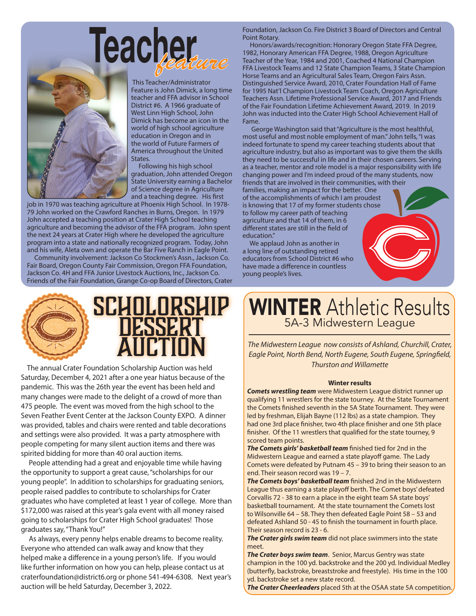**Teacher** 



 This Teacher/Administrator Feature is John Dimick, a long time teacher and FFA advisor in School District #6. A 1966 graduate of West Linn High School, John Dimick has become an icon in the world of high school agriculture education in Oregon and in the world of Future Farmers of America throughout the United States.

 Following his high school graduation, John attended Oregon State University earning a Bachelor of Science degree in Agriculture and a teaching degree. His first

job in 1970 was teaching agriculture at Phoenix High School. In 1978- 79 John worked on the Crawford Ranches in Burns, Oregon. In 1979 John accepted a teaching position at Crater High School teaching agriculture and becoming the advisor of the FFA program. John spent the next 24 years at Crater High where he developed the agriculture program into a state and nationally recognized program. Today, John and his wife, Aleta own and operate the Bar Five Ranch in Eagle Point.

 Community involvement: Jackson Co Stockmen's Assn., Jackson Co. Fair Board, Oregon County Fair Commission, Oregon FFA Foundation, Jackson Co. 4H and FFA Junior Livestock Auctions, Inc., Jackson Co. Friends of the Fair Foundation, Grange Co-op Board of Directors, Crater



 The annual Crater Foundation Scholarship Auction was held Saturday, December 4, 2021 after a one year hiatus because of the pandemic. This was the 26th year the event has been held and many changes were made to the delight of a crowd of more than 475 people. The event was moved from the high school to the Seven Feather Event Center at the Jackson County EXPO. A dinner was provided, tables and chairs were rented and table decorations and settings were also provided. It was a party atmosphere with people competing for many silent auction items and there was spirited bidding for more than 40 oral auction items.

 People attending had a great and enjoyable time while having the opportunity to support a great cause, "scholarships for our young people". In addition to scholarships for graduating seniors, people raised paddles to contribute to scholarships for Crater graduates who have completed at least 1 year of college. More than \$172,000 was raised at this year's gala event with all money raised going to scholarships for Crater High School graduates! Those graduates say, "Thank You!"

 As always, every penny helps enable dreams to become reality. Everyone who attended can walk away and know that they helped make a difference in a young person's life. If you would like further information on how you can help, please contact us at craterfoundation@district6.org or phone 541-494-6308. Next year's auction will be held Saturday, December 3, 2022.

Foundation, Jackson Co. Fire District 3 Board of Directors and Central Point Rotary.

 Honors/awards/recognition: Honorary Oregon State FFA Degree, 1982, Honorary American FFA Degree, 1988, Oregon Agriculture Teacher of the Year, 1984 and 2001, Coached 4 National Champion FFA Livestock Teams and 12 State Champion Teams, 3 State Champion Horse Teams and an Agricultural Sales Team, Oregon Fairs Assn. Distinguished Service Award, 2010, Crater Foundation Hall of Fame for 1995 Nat'l Champion Livestock Team Coach, Oregon Agriculture Teachers Assn. Lifetime Professional Service Award, 2017 and Friends of the Fair Foundation Lifetime Achievement Award, 2019. In 2019 John was inducted into the Crater High School Achievement Hall of Fame.

 George Washington said that "Agriculture is the most healthful, most useful and most noble employment of man." John tells, "I was indeed fortunate to spend my career teaching students about that agriculture industry, but also as important was to give them the skills they need to be successful in life and in their chosen careers. Serving as a teacher, mentor and role model is a major responsibility with life changing power and I'm indeed proud of the many students, now friends that are involved in their communities, with their

families, making an impact for the better. One of the accomplishments of which I am proudest is knowing that 17 of my former students chose to follow my career path of teaching agriculture and that 14 of them, in 6 different states are still in the field of education."

 We applaud John as another in a long line of outstanding retired educators from School District #6 who have made a difference in countless young people's lives.

# WINTER Athletic Results 5A-3 Midwestern League

*The Midwestern League now consists of Ashland, Churchill, Crater, Eagle Point, North Bend, North Eugene, South Eugene, Springfield, Thurston and Willamette*

### **Winter results**

*Comets wrestling team* were Midwestern League district runner up qualifying 11 wrestlers for the state tourney. At the State Tournament the Comets finished seventh in the 5A State Tournament. They were led by freshman, Elijah Bayne (112 lbs) as a state champion. They had one 3rd place finisher, two 4th place finisher and one 5th place finisher. Of the 11 wrestlers that qualified for the state tourney, 9 scored team points.

*The Comets girls' basketball team* finished tied for 2nd in the Midwestern League and earned a state playoff game. The Lady Comets were defeated by Putnam 45 – 39 to bring their season to an end. Their season record was 19 – 7.

*The Comets boys' basketball team* finished 2nd in the Midwestern League thus earning a state playoff berth. The Comet boys' defeated Corvallis 72 - 38 to earn a place in the eight team 5A state boys' basketball tournament. At the state tournament the Comets lost to Wilsonville 64 – 58. They then defeated Eagle Point 58 – 53 and defeated Ashland 50 - 45 to finish the tournament in fourth place. Their season record is 23 - 6.

*The Crater girls swim team* did not place swimmers into the state meet.

*The Crater boys swim team*. Senior, Marcus Gentry was state champion in the 100 yd. backstroke and the 200 yd. Individual Medley (butterfly, backstroke, breaststroke and freestyle). His time in the 100 yd. backstroke set a new state record.

*The Crater Cheerleaders* placed 5th at the OSAA state 5A competition.